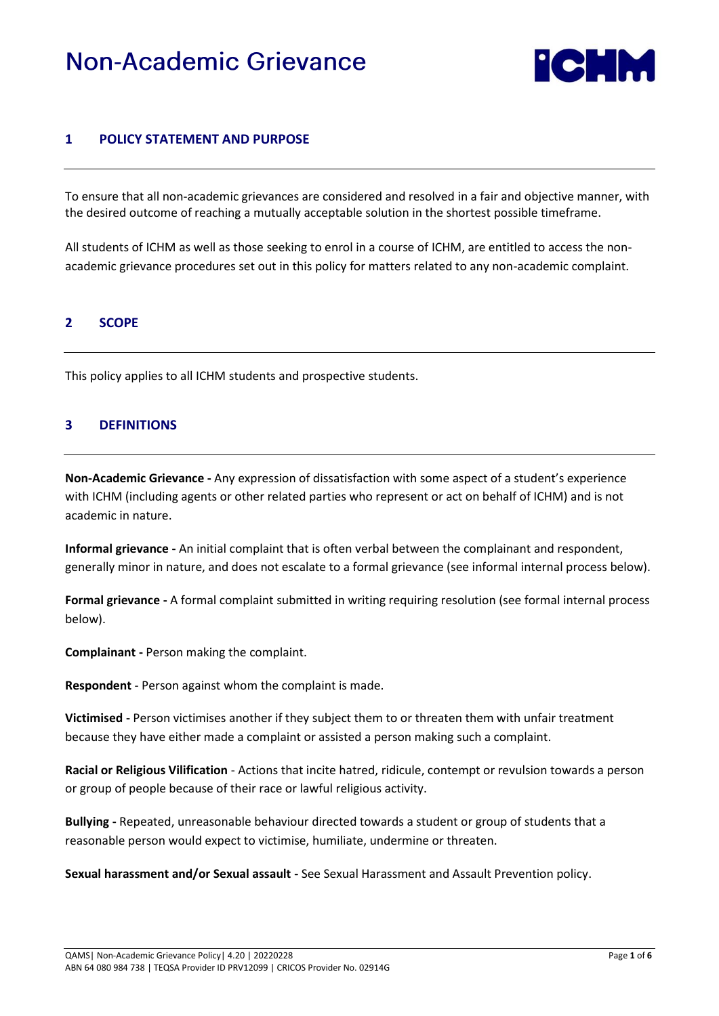# **Non-Academic Grievance**



## **1 POLICY STATEMENT AND PURPOSE**

To ensure that all non-academic grievances are considered and resolved in a fair and objective manner, with the desired outcome of reaching a mutually acceptable solution in the shortest possible timeframe.

All students of ICHM as well as those seeking to enrol in a course of ICHM, are entitled to access the nonacademic grievance procedures set out in this policy for matters related to any non-academic complaint.

#### **2 SCOPE**

This policy applies to all ICHM students and prospective students.

#### **3 DEFINITIONS**

**Non-Academic Grievance -** Any expression of dissatisfaction with some aspect of a student's experience with ICHM (including agents or other related parties who represent or act on behalf of ICHM) and is not academic in nature.

**Informal grievance -** An initial complaint that is often verbal between the complainant and respondent, generally minor in nature, and does not escalate to a formal grievance (see informal internal process below).

**Formal grievance -** A formal complaint submitted in writing requiring resolution (see formal internal process below).

**Complainant -** Person making the complaint.

**Respondent** - Person against whom the complaint is made.

**Victimised -** Person victimises another if they subject them to or threaten them with unfair treatment because they have either made a complaint or assisted a person making such a complaint.

**Racial or Religious Vilification** - Actions that incite hatred, ridicule, contempt or revulsion towards a person or group of people because of their race or lawful religious activity.

**Bullying -** Repeated, unreasonable behaviour directed towards a student or group of students that a reasonable person would expect to victimise, humiliate, undermine or threaten.

**Sexual harassment and/or Sexual assault -** See Sexual Harassment and Assault Prevention policy.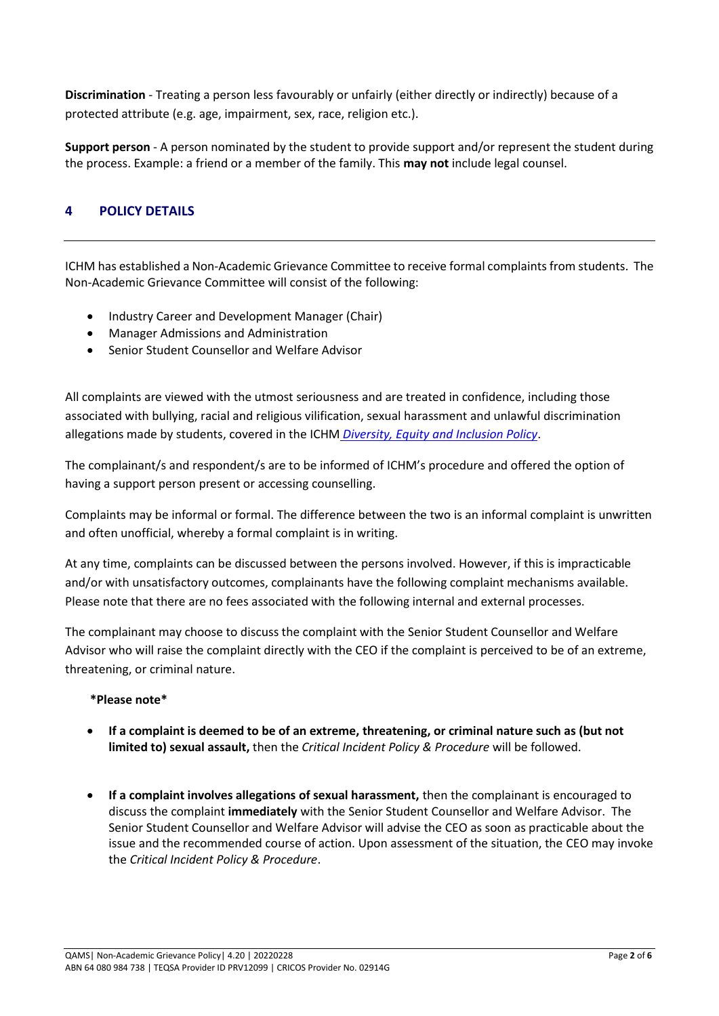**Discrimination** - Treating a person less favourably or unfairly (either directly or indirectly) because of a protected attribute (e.g. age, impairment, sex, race, religion etc.).

**Support person** - A person nominated by the student to provide support and/or represent the student during the process. Example: a friend or a member of the family. This **may not** include legal counsel.

# **4 POLICY DETAILS**

ICHM has established a Non-Academic Grievance Committee to receive formal complaints from students. The Non-Academic Grievance Committee will consist of the following:

- Industry Career and Development Manager (Chair)
- Manager Admissions and Administration
- Senior Student Counsellor and Welfare Advisor

All complaints are viewed with the utmost seriousness and are treated in confidence, including those associated with bullying, racial and religious vilification, sexual harassment and unlawful discrimination allegations made by students, covered in the ICHM *[Diversity, Equity and Inclusion Policy](https://www.ichm.edu.au/about-ichm/student-policies-and-procedures)*.

The complainant/s and respondent/s are to be informed of ICHM's procedure and offered the option of having a support person present or accessing counselling.

Complaints may be informal or formal. The difference between the two is an informal complaint is unwritten and often unofficial, whereby a formal complaint is in writing.

At any time, complaints can be discussed between the persons involved. However, if this is impracticable and/or with unsatisfactory outcomes, complainants have the following complaint mechanisms available. Please note that there are no fees associated with the following internal and external processes.

The complainant may choose to discuss the complaint with the Senior Student Counsellor and Welfare Advisor who will raise the complaint directly with the CEO if the complaint is perceived to be of an extreme, threatening, or criminal nature.

#### **\*Please note\***

- **If a complaint is deemed to be of an extreme, threatening, or criminal nature such as (but not limited to) sexual assault,** then the *Critical Incident Policy & Procedure* will be followed.
- **If a complaint involves allegations of sexual harassment,** then the complainant is encouraged to discuss the complaint **immediately** with the Senior Student Counsellor and Welfare Advisor. The Senior Student Counsellor and Welfare Advisor will advise the CEO as soon as practicable about the issue and the recommended course of action. Upon assessment of the situation, the CEO may invoke the *Critical Incident Policy & Procedure*.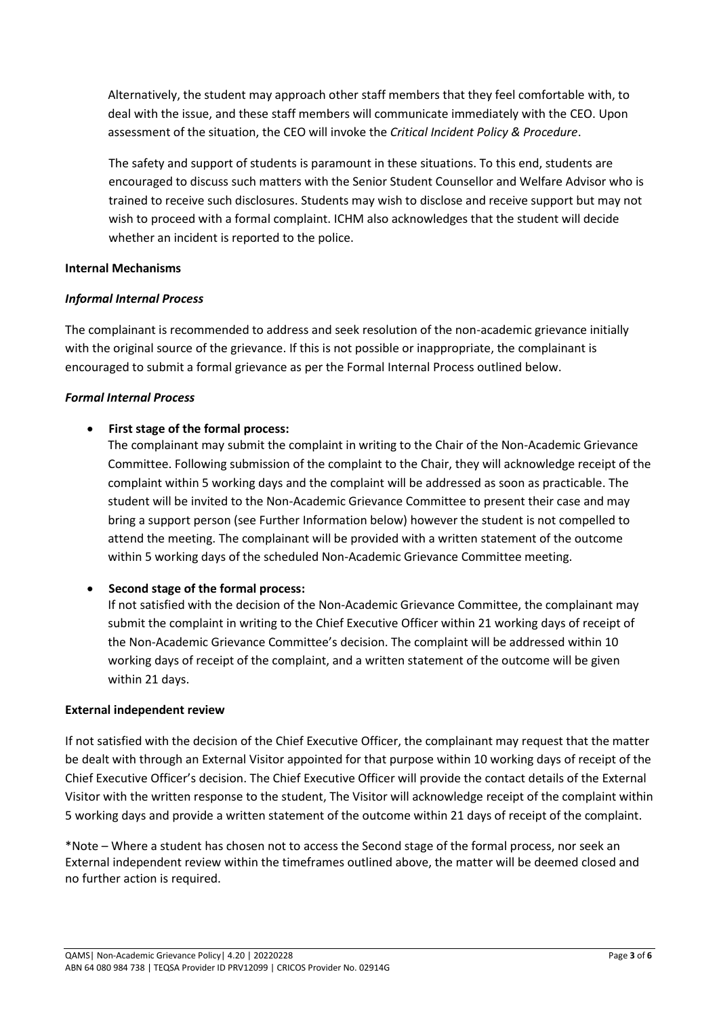Alternatively, the student may approach other staff members that they feel comfortable with, to deal with the issue, and these staff members will communicate immediately with the CEO. Upon assessment of the situation, the CEO will invoke the *Critical Incident Policy & Procedure*.

The safety and support of students is paramount in these situations. To this end, students are encouraged to discuss such matters with the Senior Student Counsellor and Welfare Advisor who is trained to receive such disclosures. Students may wish to disclose and receive support but may not wish to proceed with a formal complaint. ICHM also acknowledges that the student will decide whether an incident is reported to the police.

#### **Internal Mechanisms**

## *Informal Internal Process*

The complainant is recommended to address and seek resolution of the non-academic grievance initially with the original source of the grievance. If this is not possible or inappropriate, the complainant is encouraged to submit a formal grievance as per the Formal Internal Process outlined below.

## *Formal Internal Process*

## • **First stage of the formal process:**

The complainant may submit the complaint in writing to the Chair of the Non-Academic Grievance Committee. Following submission of the complaint to the Chair, they will acknowledge receipt of the complaint within 5 working days and the complaint will be addressed as soon as practicable. The student will be invited to the Non-Academic Grievance Committee to present their case and may bring a support person (see Further Information below) however the student is not compelled to attend the meeting. The complainant will be provided with a written statement of the outcome within 5 working days of the scheduled Non-Academic Grievance Committee meeting.

# • **Second stage of the formal process:**

If not satisfied with the decision of the Non-Academic Grievance Committee, the complainant may submit the complaint in writing to the Chief Executive Officer within 21 working days of receipt of the Non-Academic Grievance Committee's decision. The complaint will be addressed within 10 working days of receipt of the complaint, and a written statement of the outcome will be given within 21 days.

#### **External independent review**

If not satisfied with the decision of the Chief Executive Officer, the complainant may request that the matter be dealt with through an External Visitor appointed for that purpose within 10 working days of receipt of the Chief Executive Officer's decision. The Chief Executive Officer will provide the contact details of the External Visitor with the written response to the student, The Visitor will acknowledge receipt of the complaint within 5 working days and provide a written statement of the outcome within 21 days of receipt of the complaint.

\*Note – Where a student has chosen not to access the Second stage of the formal process, nor seek an External independent review within the timeframes outlined above, the matter will be deemed closed and no further action is required.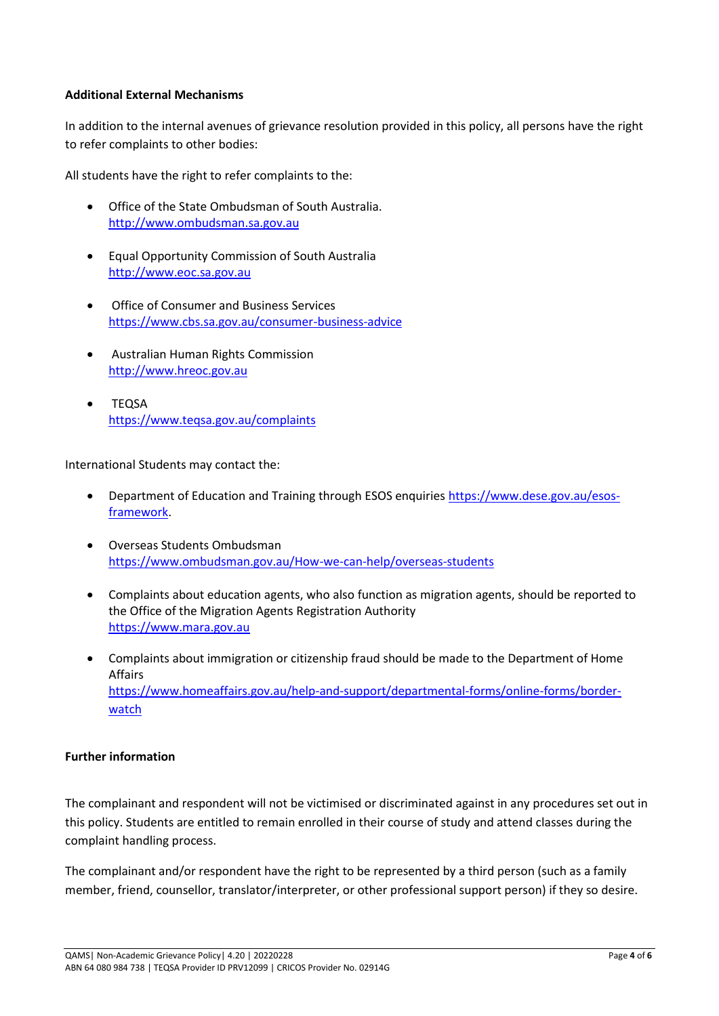#### **Additional External Mechanisms**

In addition to the internal avenues of grievance resolution provided in this policy, all persons have the right to refer complaints to other bodies:

All students have the right to refer complaints to the:

- Office of the State Ombudsman of South Australia. [http://www.ombudsman.sa.gov.au](http://www.ombudsman.sa.gov.au/)
- Equal Opportunity Commission of South Australia [http://www.eoc.sa.gov.au](http://www.eoc.sa.gov.au/)
- Office of Consumer and Business Services <https://www.cbs.sa.gov.au/consumer-business-advice>
- Australian Human Rights Commission [http://www.hreoc.gov.au](http://www.hreoc.gov.au/)
- TEQSA <https://www.teqsa.gov.au/complaints>

International Students may contact the:

- Department of Education and Training through ESOS enquiries [https://www.dese.gov.au/esos](https://www.dese.gov.au/esos-framework)[framework.](https://www.dese.gov.au/esos-framework)
- Overseas Students Ombudsman <https://www.ombudsman.gov.au/How-we-can-help/overseas-students>
- Complaints about education agents, who also function as migration agents, should be reported to the Office of the Migration Agents Registration Authority [https://www.mara.gov.au](https://www.mara.gov.au/)
- Complaints about immigration or citizenship fraud should be made to the Department of Home Affairs [https://www.homeaffairs.gov.au/help-and-support/departmental-forms/online-forms/border](https://www.homeaffairs.gov.au/help-and-support/departmental-forms/online-forms/border-watch)[watch](https://www.homeaffairs.gov.au/help-and-support/departmental-forms/online-forms/border-watch)

#### **Further information**

The complainant and respondent will not be victimised or discriminated against in any procedures set out in this policy. Students are entitled to remain enrolled in their course of study and attend classes during the complaint handling process.

The complainant and/or respondent have the right to be represented by a third person (such as a family member, friend, counsellor, translator/interpreter, or other professional support person) if they so desire.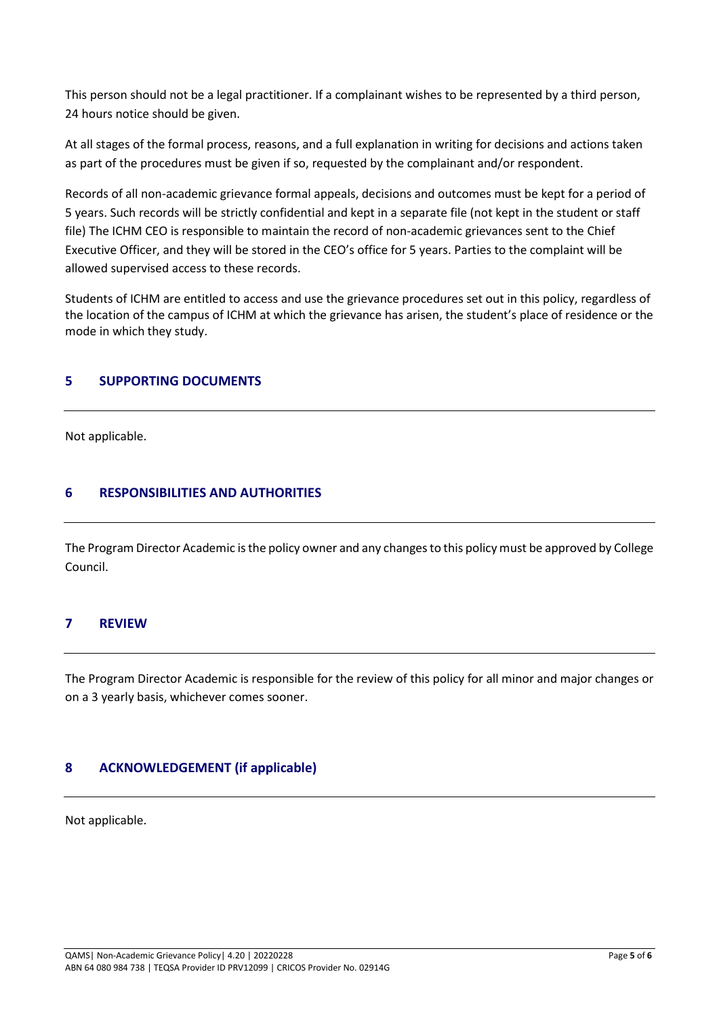This person should not be a legal practitioner. If a complainant wishes to be represented by a third person, 24 hours notice should be given.

At all stages of the formal process, reasons, and a full explanation in writing for decisions and actions taken as part of the procedures must be given if so, requested by the complainant and/or respondent.

Records of all non-academic grievance formal appeals, decisions and outcomes must be kept for a period of 5 years. Such records will be strictly confidential and kept in a separate file (not kept in the student or staff file) The ICHM CEO is responsible to maintain the record of non-academic grievances sent to the Chief Executive Officer, and they will be stored in the CEO's office for 5 years. Parties to the complaint will be allowed supervised access to these records.

Students of ICHM are entitled to access and use the grievance procedures set out in this policy, regardless of the location of the campus of ICHM at which the grievance has arisen, the student's place of residence or the mode in which they study.

#### **5 SUPPORTING DOCUMENTS**

Not applicable.

# **6 RESPONSIBILITIES AND AUTHORITIES**

The Program Director Academic is the policy owner and any changes to this policy must be approved by College Council.

# **7 REVIEW**

The Program Director Academic is responsible for the review of this policy for all minor and major changes or on a 3 yearly basis, whichever comes sooner.

# **8 ACKNOWLEDGEMENT (if applicable)**

Not applicable.